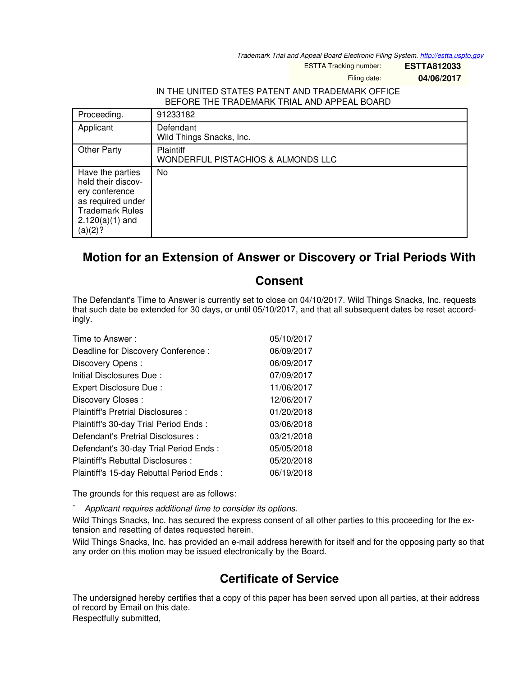*Trademark Trial and Appeal Board Electronic Filing System. <http://estta.uspto.gov>*

ESTTA Tracking number: **ESTTA812033**

Filing date: **04/06/2017**

## IN THE UNITED STATES PATENT AND TRADEMARK OFFICE BEFORE THE TRADEMARK TRIAL AND APPEAL BOARD

| Proceeding.                                                                                                                             | 91233182                                               |
|-----------------------------------------------------------------------------------------------------------------------------------------|--------------------------------------------------------|
| Applicant                                                                                                                               | Defendant<br>Wild Things Snacks, Inc.                  |
| <b>Other Party</b>                                                                                                                      | <b>Plaintiff</b><br>WONDERFUL PISTACHIOS & ALMONDS LLC |
| Have the parties<br>held their discov-<br>ery conference<br>as required under<br><b>Trademark Rules</b><br>$2.120(a)(1)$ and<br>(a)(2)? | No                                                     |

## **Motion for an Extension of Answer or Discovery or Trial Periods With**

## **Consent**

The Defendant's Time to Answer is currently set to close on 04/10/2017. Wild Things Snacks, Inc. requests that such date be extended for 30 days, or until 05/10/2017, and that all subsequent dates be reset accordingly.

| Time to Answer:                          | 05/10/2017 |
|------------------------------------------|------------|
| Deadline for Discovery Conference:       | 06/09/2017 |
| Discovery Opens:                         | 06/09/2017 |
| Initial Disclosures Due:                 | 07/09/2017 |
| Expert Disclosure Due:                   | 11/06/2017 |
| Discovery Closes:                        | 12/06/2017 |
| Plaintiff's Pretrial Disclosures :       | 01/20/2018 |
| Plaintiff's 30-day Trial Period Ends:    | 03/06/2018 |
| Defendant's Pretrial Disclosures :       | 03/21/2018 |
| Defendant's 30-day Trial Period Ends:    | 05/05/2018 |
| Plaintiff's Rebuttal Disclosures:        | 05/20/2018 |
| Plaintiff's 15-day Rebuttal Period Ends: | 06/19/2018 |

The grounds for this request are as follows:

- *Applicant requires additional time to consider its options.*

Wild Things Snacks, Inc. has secured the express consent of all other parties to this proceeding for the extension and resetting of dates requested herein.

Wild Things Snacks, Inc. has provided an e-mail address herewith for itself and for the opposing party so that any order on this motion may be issued electronically by the Board.

## **Certificate of Service**

The undersigned hereby certifies that a copy of this paper has been served upon all parties, at their address of record by Email on this date. Respectfully submitted,